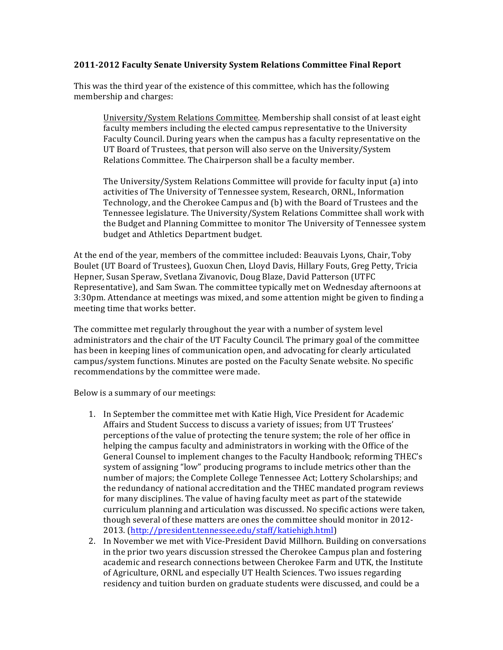## **2011\$2012 Faculty%Senate%University%System%Relations%Committee%Final%Report**

This was the third year of the existence of this committee, which has the following membership and charges:

University/System Relations Committee. Membership shall consist of at least eight faculty members including the elected campus representative to the University Faculty Council. During years when the campus has a faculty representative on the UT Board of Trustees, that person will also serve on the University/System Relations Committee. The Chairperson shall be a faculty member.

The University/System Relations Committee will provide for faculty input (a) into activities of The University of Tennessee system, Research, ORNL, Information Technology, and the Cherokee Campus and (b) with the Board of Trustees and the Tennessee legislature. The University/System Relations Committee shall work with the Budget and Planning Committee to monitor The University of Tennessee system budget and Athletics Department budget.

At the end of the year, members of the committee included: Beauvais Lyons, Chair, Toby Boulet (UT Board of Trustees), Guoxun Chen, Lloyd Davis, Hillary Fouts, Greg Petty, Tricia Hepner, Susan Speraw, Svetlana Zivanovic, Doug Blaze, David Patterson (UTFC) Representative), and Sam Swan. The committee typically met on Wednesday afternoons at 3:30pm. Attendance at meetings was mixed, and some attention might be given to finding a meeting time that works better.

The committee met regularly throughout the year with a number of system level administrators and the chair of the UT Faculty Council. The primary goal of the committee has been in keeping lines of communication open, and advocating for clearly articulated campus/system functions. Minutes are posted on the Faculty Senate website. No specific recommendations by the committee were made.

Below is a summary of our meetings:

- 1. In September the committee met with Katie High, Vice President for Academic Affairs and Student Success to discuss a variety of issues; from UT Trustees' perceptions of the value of protecting the tenure system; the role of her office in helping the campus faculty and administrators in working with the Office of the General Counsel to implement changes to the Faculty Handbook; reforming THEC's system of assigning "low" producing programs to include metrics other than the number of majors; the Complete College Tennessee Act; Lottery Scholarships; and the redundancy of national accreditation and the THEC mandated program reviews for many disciplines. The value of having faculty meet as part of the statewide curriculum planning and articulation was discussed. No specific actions were taken, though several of these matters are ones the committee should monitor in 2012-2013. (http://president.tennessee.edu/staff/katiehigh.html)
- 2. In November we met with Vice-President David Millhorn. Building on conversations in the prior two years discussion stressed the Cherokee Campus plan and fostering academic and research connections between Cherokee Farm and UTK, the Institute of Agriculture, ORNL and especially UT Health Sciences. Two issues regarding residency and tuition burden on graduate students were discussed, and could be a